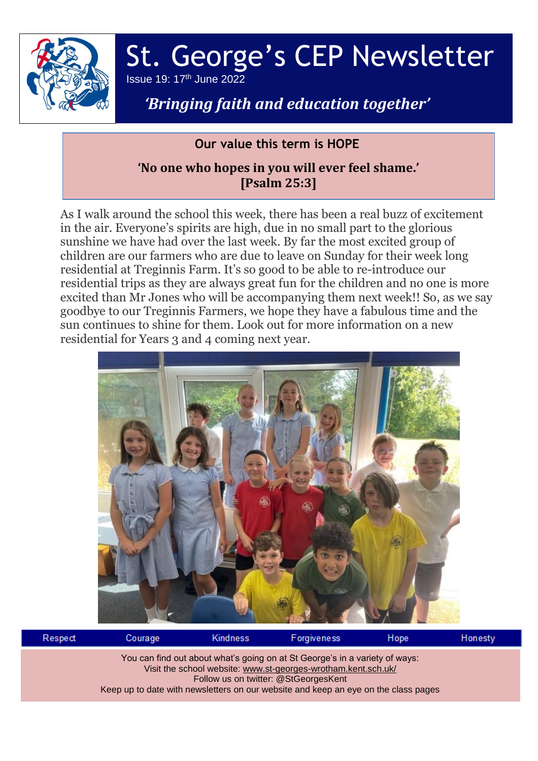

# St. George's CEP Newsletter Issue 19: 17 th June 2022

## *'Bringing faith and education together'*

#### **Our value this term is HOPE**

### **'No one who hopes in you will ever feel shame.' [Psalm 25:3]**

As I walk around the school this week, there has been a real buzz of excitement in the air. Everyone's spirits are high, due in no small part to the glorious sunshine we have had over the last week. By far the most excited group of children are our farmers who are due to leave on Sunday for their week long residential at Treginnis Farm. It's so good to be able to re-introduce our residential trips as they are always great fun for the children and no one is more excited than Mr Jones who will be accompanying them next week!! So, as we say goodbye to our Treginnis Farmers, we hope they have a fabulous time and the sun continues to shine for them. Look out for more information on a new residential for Years 3 and 4 coming next year.



| Respect                                                                                                                                                                                                                                                                    | Courage | <b>Kindness</b> | <b>Forgiveness</b> | Hope | Honesty |  |  |  |  |
|----------------------------------------------------------------------------------------------------------------------------------------------------------------------------------------------------------------------------------------------------------------------------|---------|-----------------|--------------------|------|---------|--|--|--|--|
| You can find out about what's going on at St George's in a variety of ways:<br>Visit the school website: www.st-georges-wrotham.kent.sch.uk/<br>Follow us on twitter: @StGeorgesKent<br>Keep up to date with newsletters on our website and keep an eye on the class pages |         |                 |                    |      |         |  |  |  |  |